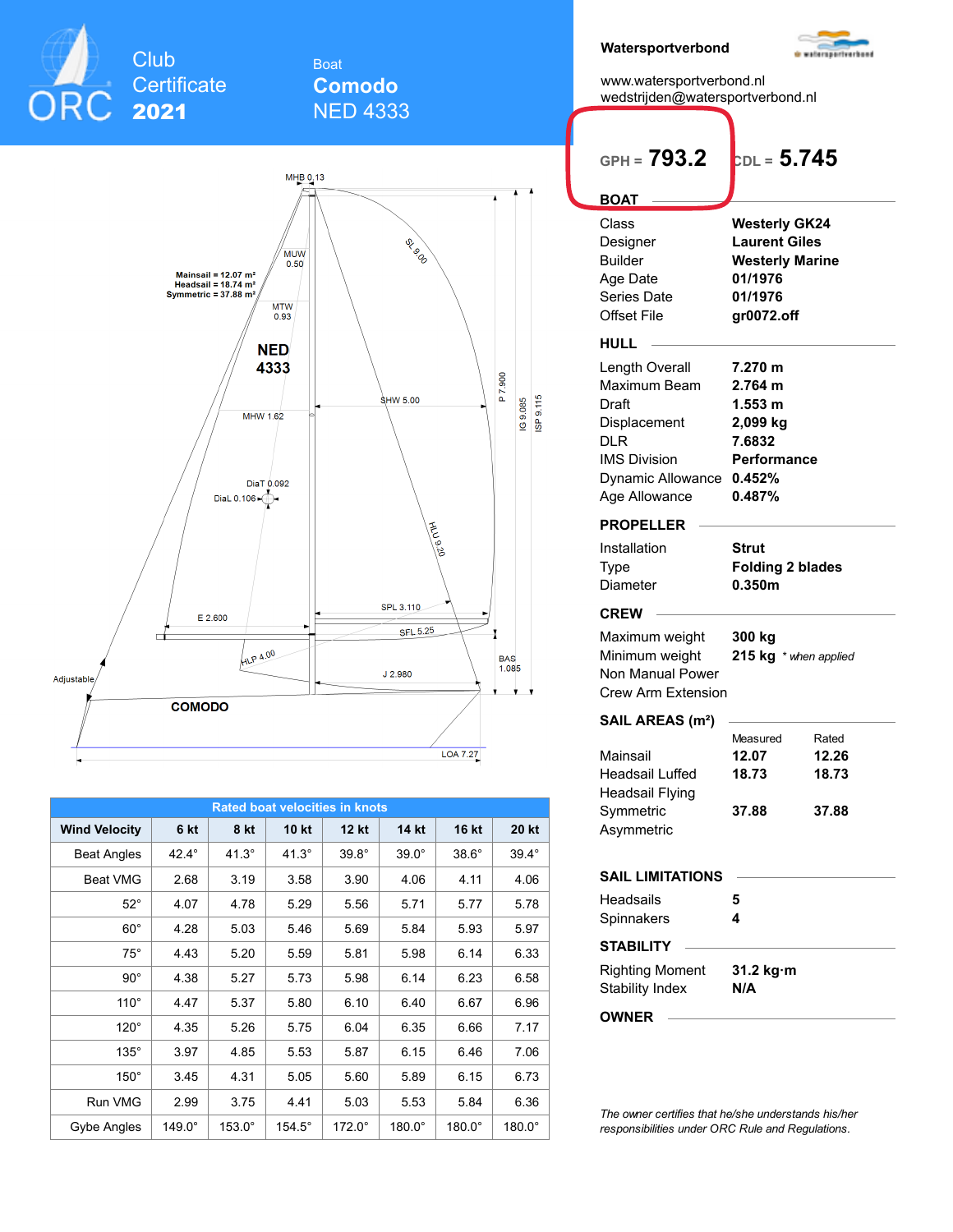

## Boat **Comodo** NED 4333



| <b>Rated boat velocities in knots</b> |              |               |               |               |               |               |               |  |  |  |  |  |  |
|---------------------------------------|--------------|---------------|---------------|---------------|---------------|---------------|---------------|--|--|--|--|--|--|
| <b>Wind Velocity</b>                  | 6 kt         | 8 kt          | <b>10 kt</b>  | <b>12 kt</b>  | 14 kt         | <b>16 kt</b>  | 20 kt         |  |  |  |  |  |  |
| <b>Beat Angles</b>                    | $42.4^\circ$ | $41.3^\circ$  | $41.3^\circ$  | $39.8^\circ$  | $39.0^\circ$  | $38.6^\circ$  | $39.4^\circ$  |  |  |  |  |  |  |
| <b>Beat VMG</b>                       | 2.68         | 3.19          | 3.58          | 3.90          | 4.06          | 4.11          | 4.06          |  |  |  |  |  |  |
| $52^\circ$                            | 4.07         | 4.78          | 5.29          | 5.56          | 5.71          | 5.77          | 5.78          |  |  |  |  |  |  |
| $60^{\circ}$                          | 4.28         | 5.03          | 5.46          | 5.69          | 5.84          | 5.93          | 5.97          |  |  |  |  |  |  |
| $75^\circ$                            | 4.43         | 5.20          | 5.59          | 5.81          | 5.98          | 6.14          | 6.33          |  |  |  |  |  |  |
| $90^{\circ}$                          | 4.38         | 5.27          | 5.73          | 5.98          | 6.14          | 6.23          | 6.58          |  |  |  |  |  |  |
| $110^\circ$                           | 4.47         | 5.37          | 5.80          | 6.10          | 6.40          | 6.67          | 6.96          |  |  |  |  |  |  |
| $120^\circ$                           | 4.35         | 5.26          | 5.75          | 6.04          | 6.35          | 6.66          | 7.17          |  |  |  |  |  |  |
| $135^\circ$                           | 3.97         | 4.85          | 5.53          | 5.87          | 6.15          | 6.46          | 7.06          |  |  |  |  |  |  |
| $150^\circ$                           | 3.45         | 4.31          | 5.05          | 5.60          | 5.89          | 6.15          | 6.73          |  |  |  |  |  |  |
| Run VMG                               | 2.99         | 3.75          | 4.41          | 5.03          | 5.53          | 5.84          | 6.36          |  |  |  |  |  |  |
| Gybe Angles                           | 149.0°       | $153.0^\circ$ | $154.5^\circ$ | $172.0^\circ$ | $180.0^\circ$ | $180.0^\circ$ | $180.0^\circ$ |  |  |  |  |  |  |

| Watersportverbond                                                                                                                  |                                                                                                            |                                  |
|------------------------------------------------------------------------------------------------------------------------------------|------------------------------------------------------------------------------------------------------------|----------------------------------|
| www.watersportverbond.nl<br>wedstrijden@watersportverbond.nl                                                                       |                                                                                                            |                                  |
| GPH = $793.2$                                                                                                                      | $b_{\rm DL}$ = $5.745$                                                                                     |                                  |
| <b>BOAT</b>                                                                                                                        |                                                                                                            |                                  |
| Class<br>Designer<br><b>Builder</b><br>Age Date<br>Series Date<br>Offset File                                                      | <b>Westerly GK24</b><br><b>Laurent Giles</b><br><b>Westerly Marine</b><br>01/1976<br>01/1976<br>gr0072.off |                                  |
| HULL                                                                                                                               |                                                                                                            |                                  |
| Length Overall<br>Maximum Beam<br>Draft<br>Displacement<br>DLR<br><b>IMS Division</b><br><b>Dynamic Allowance</b><br>Age Allowance | 7.270 m<br>2.764 m<br>1.553 m<br>2,099 kg<br>7.6832<br>Performance<br>0.452%<br>0.487%                     |                                  |
| <b>PROPELLER</b>                                                                                                                   |                                                                                                            |                                  |
| Installation<br><b>Type</b><br>Diameter                                                                                            | Strut<br><b>Folding 2 blades</b><br>0.350m                                                                 |                                  |
| <b>CREW</b>                                                                                                                        |                                                                                                            |                                  |
| Maximum weight<br>Minimum weight<br>Non Manual Power<br><b>Crew Arm Extension</b>                                                  | 300 kg<br>215 kg * when applied                                                                            |                                  |
| SAIL AREAS (m <sup>2</sup> )                                                                                                       |                                                                                                            |                                  |
| Mainsail<br><b>Headsail Luffed</b><br><b>Headsail Flying</b><br>Symmetric<br>Asymmetric                                            | Measured<br>12.07<br>18.73<br>37.88                                                                        | Rated<br>12.26<br>18.73<br>37.88 |
| <b>SAIL LIMITATIONS</b>                                                                                                            |                                                                                                            |                                  |
| Headsails<br>Spinnakers                                                                                                            | 5<br>4                                                                                                     |                                  |
| <b>STABILITY</b>                                                                                                                   |                                                                                                            |                                  |
| <b>Righting Moment</b><br><b>Stability Index</b>                                                                                   | 31.2 kg·m<br>N/A                                                                                           |                                  |
|                                                                                                                                    |                                                                                                            |                                  |

*responsibilities under ORC Rule and Regulations.*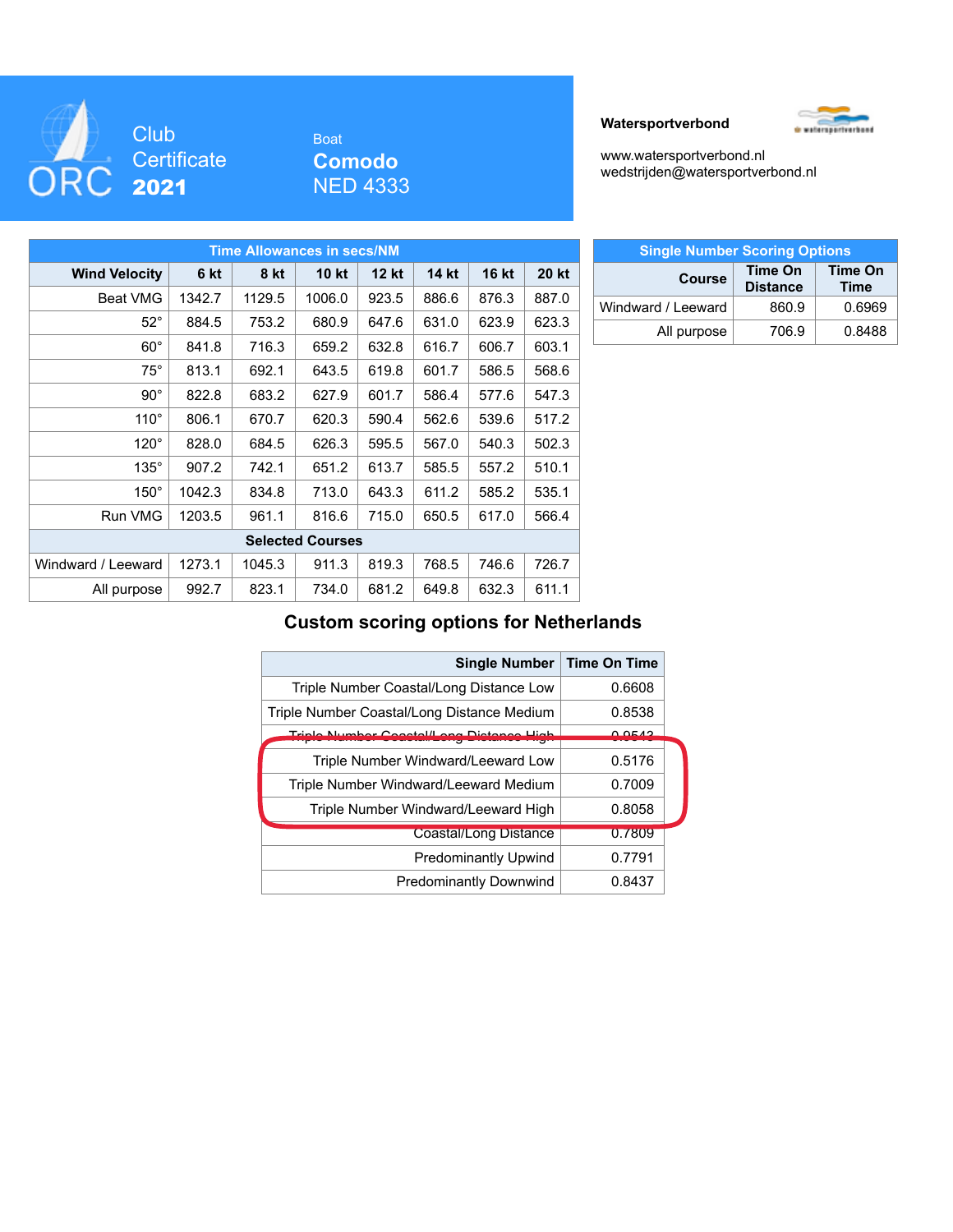

# Boat **Comodo** NED 4333





[www.watersportverbond.nl](http://www.watersportverbond.nl/) [wedstrijden@watersportverbond.nl](mailto:wedstrijden@watersportverbond.nl)

| <b>Time Allowances in secs/NM</b> |        |        |              |              |       |              |              |  |  |  |  |  |  |
|-----------------------------------|--------|--------|--------------|--------------|-------|--------------|--------------|--|--|--|--|--|--|
| <b>Wind Velocity</b>              | 6 kt   | 8 kt   | <b>10 kt</b> | <b>12 kt</b> | 14 kt | <b>16 kt</b> | <b>20 kt</b> |  |  |  |  |  |  |
| <b>Beat VMG</b>                   | 1342.7 | 1129.5 | 1006.0       | 923.5        | 886.6 | 876.3        | 887.0        |  |  |  |  |  |  |
| $52^{\circ}$                      | 884.5  | 753.2  | 680.9        | 647.6        | 631.0 | 623.9        | 623.3        |  |  |  |  |  |  |
| $60^\circ$                        | 841.8  | 716.3  | 659.2        | 632.8        | 616.7 | 606.7        | 603.1        |  |  |  |  |  |  |
| $75^{\circ}$                      | 813.1  | 692.1  | 643.5        | 619.8        | 601.7 | 586.5        | 568.6        |  |  |  |  |  |  |
| $90^{\circ}$                      | 822.8  | 683.2  | 627.9        | 601.7        | 586.4 | 577.6        | 547.3        |  |  |  |  |  |  |
| $110^\circ$                       | 806.1  | 670.7  | 620.3        | 590.4        | 562.6 | 539.6        | 517.2        |  |  |  |  |  |  |
| $120^\circ$                       | 828.0  | 684.5  | 626.3        | 595.5        | 567.0 | 540.3        | 502.3        |  |  |  |  |  |  |
| $135^\circ$                       | 907.2  | 742.1  | 651.2        | 613.7        | 585.5 | 557.2        | 510.1        |  |  |  |  |  |  |
| $150^\circ$                       | 1042.3 | 834.8  | 713.0        | 643.3        | 611.2 | 585.2        | 535.1        |  |  |  |  |  |  |
| <b>Run VMG</b>                    | 1203.5 | 961.1  | 816.6        | 715.0        | 650.5 | 617.0        | 566.4        |  |  |  |  |  |  |
| <b>Selected Courses</b>           |        |        |              |              |       |              |              |  |  |  |  |  |  |
| Windward / Leeward                | 1273.1 | 1045.3 | 911.3        | 819.3        | 768.5 | 746.6        | 726.7        |  |  |  |  |  |  |
| All purpose                       | 992.7  | 823.1  | 734.0        | 681.2        | 649.8 | 632.3        | 611.1        |  |  |  |  |  |  |

| <b>Single Number Scoring Options</b> |                            |                        |  |  |  |  |  |  |  |  |  |
|--------------------------------------|----------------------------|------------------------|--|--|--|--|--|--|--|--|--|
| <b>Course</b>                        | Time On<br><b>Distance</b> | Time On<br><b>Time</b> |  |  |  |  |  |  |  |  |  |
| Windward / Leeward                   | 860.9                      | 0.6969                 |  |  |  |  |  |  |  |  |  |
| All purpose                          | 706.9                      | 0.8488                 |  |  |  |  |  |  |  |  |  |

## **Custom scoring options for Netherlands**

| <b>Single Number</b>                       | <b>Time On Time</b> |
|--------------------------------------------|---------------------|
| Triple Number Coastal/Long Distance Low    | 0.6608              |
| Triple Number Coastal/Long Distance Medium | 0.8538              |
| Triplo Number Constal/Long Distance High   | O OE 42             |
| Triple Number Windward/Leeward Low         | 0.5176              |
| Triple Number Windward/Leeward Medium      | 0.7009              |
| Triple Number Windward/Leeward High        | 0.8058              |
| <b>Coastal/Long Distance</b>               | 0.7809              |
| <b>Predominantly Upwind</b>                | 0.7791              |
| <b>Predominantly Downwind</b>              | 0.8437              |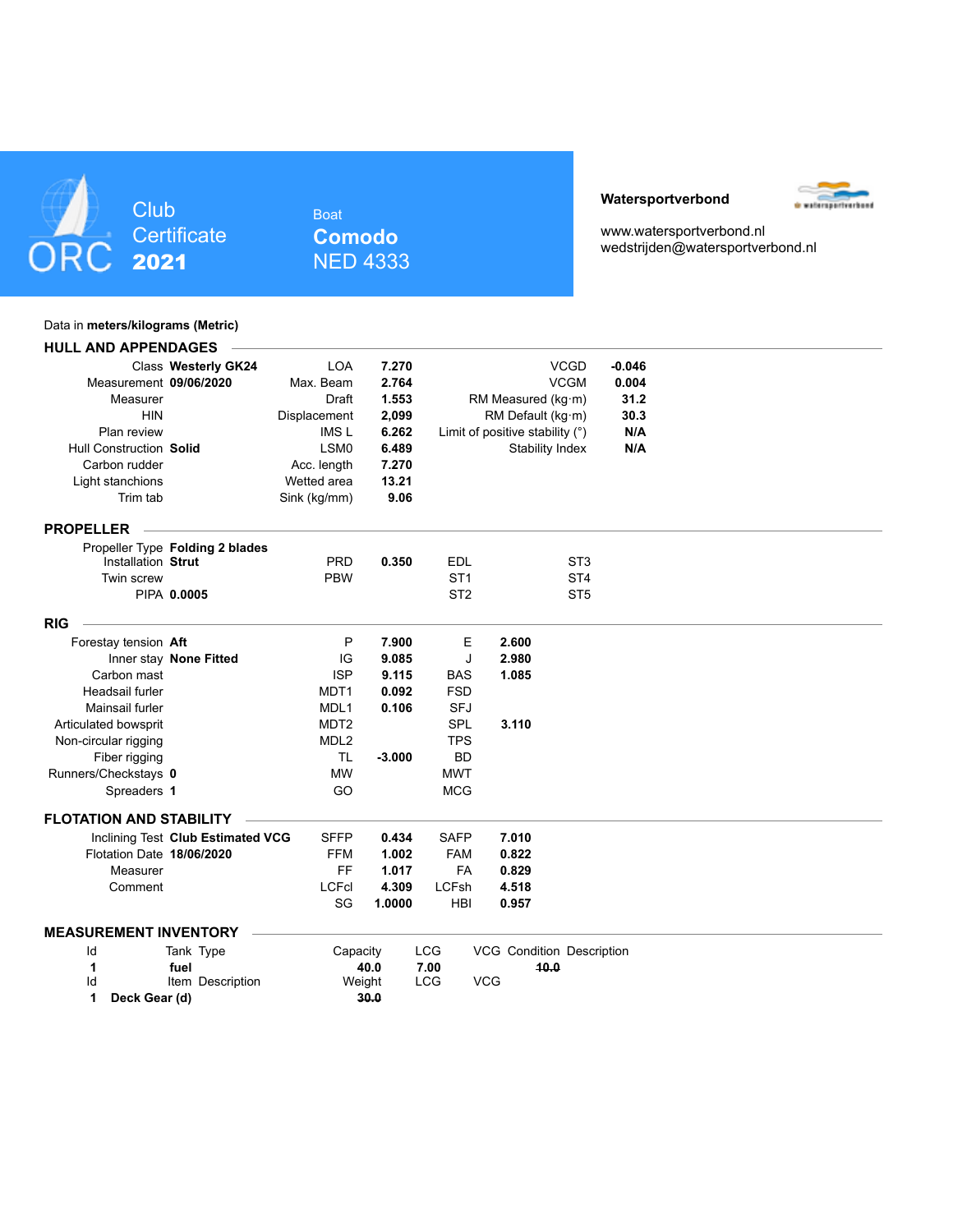

Boat **Comodo** NED 4333

#### **Watersportverbond**



[www.watersportverbond.nl](http://www.watersportverbond.nl/) [wedstrijden@watersportverbond.nl](mailto:wedstrijden@watersportverbond.nl)

#### Data in **meters/kilograms (Metric)**

| <b>HULL AND APPENDAGES</b>     |                                   |                  |          |                 |                                  |                 |              |  |  |
|--------------------------------|-----------------------------------|------------------|----------|-----------------|----------------------------------|-----------------|--------------|--|--|
|                                | Class Westerly GK24               | <b>LOA</b>       | 7.270    |                 |                                  | <b>VCGD</b>     | $-0.046$     |  |  |
| Measurement 09/06/2020         |                                   | Max. Beam        | 2.764    |                 |                                  | <b>VCGM</b>     | 0.004        |  |  |
| Measurer                       |                                   | <b>Draft</b>     | 1.553    |                 | RM Measured (kg·m)               |                 |              |  |  |
| <b>HIN</b>                     |                                   | Displacement     | 2,099    |                 | RM Default (kg·m)                |                 | 31.2<br>30.3 |  |  |
| Plan review                    |                                   | <b>IMSL</b>      | 6.262    |                 | Limit of positive stability (°)  |                 | N/A          |  |  |
| <b>Hull Construction Solid</b> |                                   | LSM <sub>0</sub> | 6.489    |                 | Stability Index                  |                 | N/A          |  |  |
| Carbon rudder                  |                                   | Acc. length      | 7.270    |                 |                                  |                 |              |  |  |
| Light stanchions               |                                   | Wetted area      | 13.21    |                 |                                  |                 |              |  |  |
| Trim tab                       |                                   | Sink (kg/mm)     | 9.06     |                 |                                  |                 |              |  |  |
| <b>PROPELLER</b>               |                                   |                  |          |                 |                                  |                 |              |  |  |
|                                | Propeller Type Folding 2 blades   |                  |          |                 |                                  |                 |              |  |  |
| Installation Strut             |                                   | <b>PRD</b>       | 0.350    | <b>EDL</b>      |                                  | ST <sub>3</sub> |              |  |  |
| Twin screw                     |                                   | <b>PBW</b>       |          | ST <sub>1</sub> |                                  | ST <sub>4</sub> |              |  |  |
|                                | PIPA 0.0005                       |                  |          | ST <sub>2</sub> |                                  | ST <sub>5</sub> |              |  |  |
| <b>RIG</b>                     |                                   |                  |          |                 |                                  |                 |              |  |  |
| Forestay tension Aft           |                                   | P                | 7.900    | Е               | 2.600                            |                 |              |  |  |
|                                | Inner stay None Fitted            | IG               | 9.085    | J               | 2.980                            |                 |              |  |  |
| Carbon mast                    |                                   | <b>ISP</b>       | 9.115    | <b>BAS</b>      | 1.085                            |                 |              |  |  |
| Headsail furler                |                                   | MDT1             | 0.092    | <b>FSD</b>      |                                  |                 |              |  |  |
| Mainsail furler                |                                   | MDL <sub>1</sub> | 0.106    | <b>SFJ</b>      |                                  |                 |              |  |  |
| Articulated bowsprit           |                                   | MDT <sub>2</sub> |          | <b>SPL</b>      | 3.110                            |                 |              |  |  |
| Non-circular rigging           |                                   | MDL <sub>2</sub> |          | <b>TPS</b>      |                                  |                 |              |  |  |
| Fiber rigging                  |                                   | TL               | $-3.000$ | <b>BD</b>       |                                  |                 |              |  |  |
| Runners/Checkstays 0           |                                   | <b>MW</b>        |          | <b>MWT</b>      |                                  |                 |              |  |  |
| Spreaders 1                    |                                   | GO               |          | <b>MCG</b>      |                                  |                 |              |  |  |
| <b>FLOTATION AND STABILITY</b> |                                   |                  |          |                 |                                  |                 |              |  |  |
|                                | Inclining Test Club Estimated VCG | <b>SFFP</b>      | 0.434    | <b>SAFP</b>     | 7.010                            |                 |              |  |  |
| Flotation Date 18/06/2020      |                                   | <b>FFM</b>       | 1.002    | <b>FAM</b>      | 0.822                            |                 |              |  |  |
| Measurer                       |                                   | FF               | 1.017    | <b>FA</b>       | 0.829                            |                 |              |  |  |
| Comment                        |                                   | <b>LCFcl</b>     | 4.309    | <b>LCFsh</b>    | 4.518                            |                 |              |  |  |
|                                |                                   | SG               | 1.0000   | <b>HBI</b>      | 0.957                            |                 |              |  |  |
| <b>MEASUREMENT INVENTORY</b>   |                                   |                  |          |                 |                                  |                 |              |  |  |
| ld                             | Tank Type                         | Capacity         |          | <b>LCG</b>      | <b>VCG Condition Description</b> |                 |              |  |  |
| 1                              | fuel                              |                  | 40.0     | 7.00            | 10.0                             |                 |              |  |  |
| Id                             | Item Description                  | Weight           |          | <b>LCG</b>      | <b>VCG</b>                       |                 |              |  |  |
| Deck Gear (d)<br>1             |                                   |                  | 30.0     |                 |                                  |                 |              |  |  |